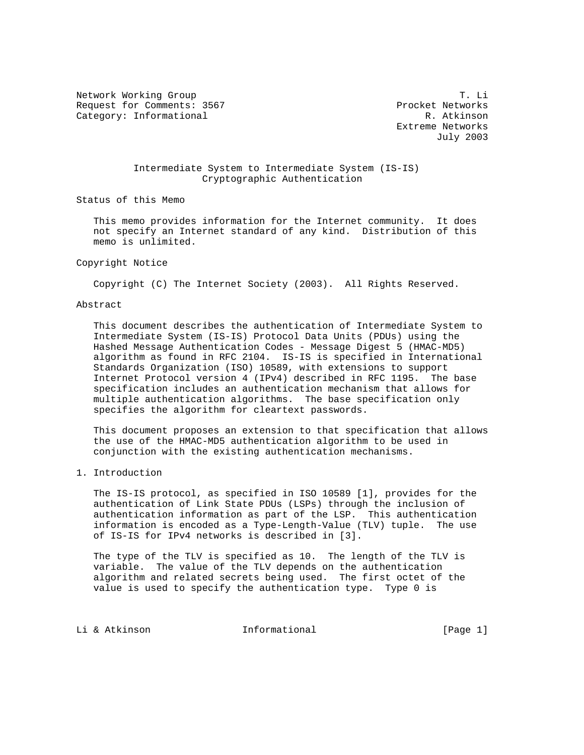Network Working Group T. Li Request for Comments: 3567 Procket Networks Category: Informational R. Atkinson

 Extreme Networks July 2003

# Intermediate System to Intermediate System (IS-IS) Cryptographic Authentication

Status of this Memo

 This memo provides information for the Internet community. It does not specify an Internet standard of any kind. Distribution of this memo is unlimited.

# Copyright Notice

Copyright (C) The Internet Society (2003). All Rights Reserved.

# Abstract

 This document describes the authentication of Intermediate System to Intermediate System (IS-IS) Protocol Data Units (PDUs) using the Hashed Message Authentication Codes - Message Digest 5 (HMAC-MD5) algorithm as found in RFC 2104. IS-IS is specified in International Standards Organization (ISO) 10589, with extensions to support Internet Protocol version 4 (IPv4) described in RFC 1195. The base specification includes an authentication mechanism that allows for multiple authentication algorithms. The base specification only specifies the algorithm for cleartext passwords.

 This document proposes an extension to that specification that allows the use of the HMAC-MD5 authentication algorithm to be used in conjunction with the existing authentication mechanisms.

# 1. Introduction

 The IS-IS protocol, as specified in ISO 10589 [1], provides for the authentication of Link State PDUs (LSPs) through the inclusion of authentication information as part of the LSP. This authentication information is encoded as a Type-Length-Value (TLV) tuple. The use of IS-IS for IPv4 networks is described in [3].

 The type of the TLV is specified as 10. The length of the TLV is variable. The value of the TLV depends on the authentication algorithm and related secrets being used. The first octet of the value is used to specify the authentication type. Type 0 is

Li & Atkinson **Informational** [Page 1]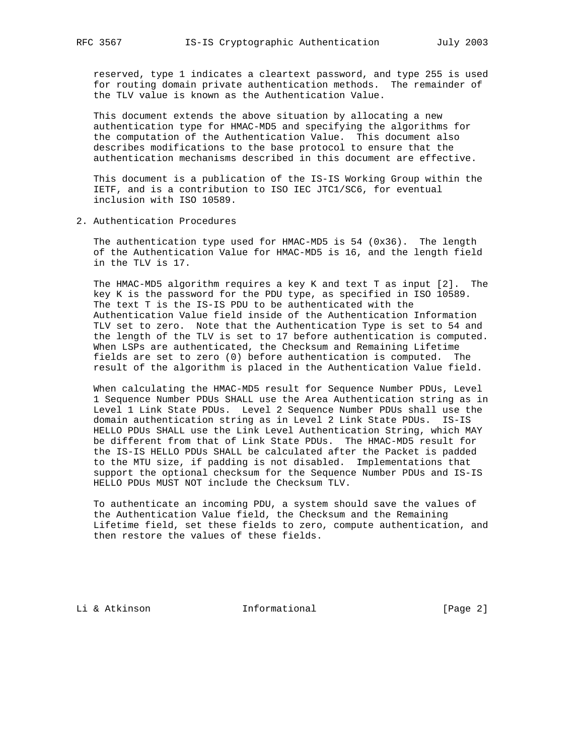reserved, type 1 indicates a cleartext password, and type 255 is used for routing domain private authentication methods. The remainder of the TLV value is known as the Authentication Value.

 This document extends the above situation by allocating a new authentication type for HMAC-MD5 and specifying the algorithms for the computation of the Authentication Value. This document also describes modifications to the base protocol to ensure that the authentication mechanisms described in this document are effective.

 This document is a publication of the IS-IS Working Group within the IETF, and is a contribution to ISO IEC JTC1/SC6, for eventual inclusion with ISO 10589.

2. Authentication Procedures

 The authentication type used for HMAC-MD5 is 54 (0x36). The length of the Authentication Value for HMAC-MD5 is 16, and the length field in the TLV is 17.

 The HMAC-MD5 algorithm requires a key K and text T as input [2]. The key K is the password for the PDU type, as specified in ISO 10589. The text T is the IS-IS PDU to be authenticated with the Authentication Value field inside of the Authentication Information TLV set to zero. Note that the Authentication Type is set to 54 and the length of the TLV is set to 17 before authentication is computed. When LSPs are authenticated, the Checksum and Remaining Lifetime fields are set to zero (0) before authentication is computed. The result of the algorithm is placed in the Authentication Value field.

 When calculating the HMAC-MD5 result for Sequence Number PDUs, Level 1 Sequence Number PDUs SHALL use the Area Authentication string as in Level 1 Link State PDUs. Level 2 Sequence Number PDUs shall use the domain authentication string as in Level 2 Link State PDUs. IS-IS HELLO PDUs SHALL use the Link Level Authentication String, which MAY be different from that of Link State PDUs. The HMAC-MD5 result for the IS-IS HELLO PDUs SHALL be calculated after the Packet is padded to the MTU size, if padding is not disabled. Implementations that support the optional checksum for the Sequence Number PDUs and IS-IS HELLO PDUs MUST NOT include the Checksum TLV.

 To authenticate an incoming PDU, a system should save the values of the Authentication Value field, the Checksum and the Remaining Lifetime field, set these fields to zero, compute authentication, and then restore the values of these fields.

Li & Atkinson **Informational** [Page 2]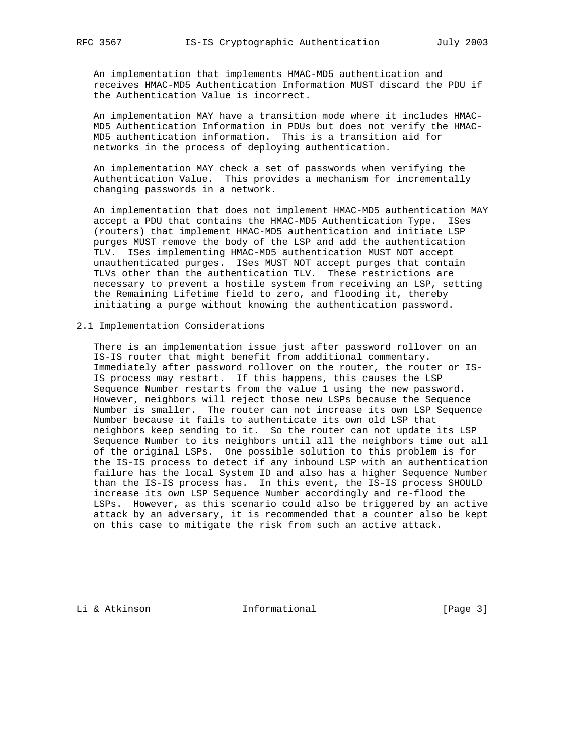An implementation that implements HMAC-MD5 authentication and receives HMAC-MD5 Authentication Information MUST discard the PDU if the Authentication Value is incorrect.

 An implementation MAY have a transition mode where it includes HMAC- MD5 Authentication Information in PDUs but does not verify the HMAC- MD5 authentication information. This is a transition aid for networks in the process of deploying authentication.

 An implementation MAY check a set of passwords when verifying the Authentication Value. This provides a mechanism for incrementally changing passwords in a network.

 An implementation that does not implement HMAC-MD5 authentication MAY accept a PDU that contains the HMAC-MD5 Authentication Type. ISes (routers) that implement HMAC-MD5 authentication and initiate LSP purges MUST remove the body of the LSP and add the authentication TLV. ISes implementing HMAC-MD5 authentication MUST NOT accept unauthenticated purges. ISes MUST NOT accept purges that contain TLVs other than the authentication TLV. These restrictions are necessary to prevent a hostile system from receiving an LSP, setting the Remaining Lifetime field to zero, and flooding it, thereby initiating a purge without knowing the authentication password.

## 2.1 Implementation Considerations

 There is an implementation issue just after password rollover on an IS-IS router that might benefit from additional commentary. Immediately after password rollover on the router, the router or IS- IS process may restart. If this happens, this causes the LSP Sequence Number restarts from the value 1 using the new password. However, neighbors will reject those new LSPs because the Sequence Number is smaller. The router can not increase its own LSP Sequence Number because it fails to authenticate its own old LSP that neighbors keep sending to it. So the router can not update its LSP Sequence Number to its neighbors until all the neighbors time out all of the original LSPs. One possible solution to this problem is for the IS-IS process to detect if any inbound LSP with an authentication failure has the local System ID and also has a higher Sequence Number than the IS-IS process has. In this event, the IS-IS process SHOULD increase its own LSP Sequence Number accordingly and re-flood the LSPs. However, as this scenario could also be triggered by an active attack by an adversary, it is recommended that a counter also be kept on this case to mitigate the risk from such an active attack.

Li & Atkinson **Informational** [Page 3]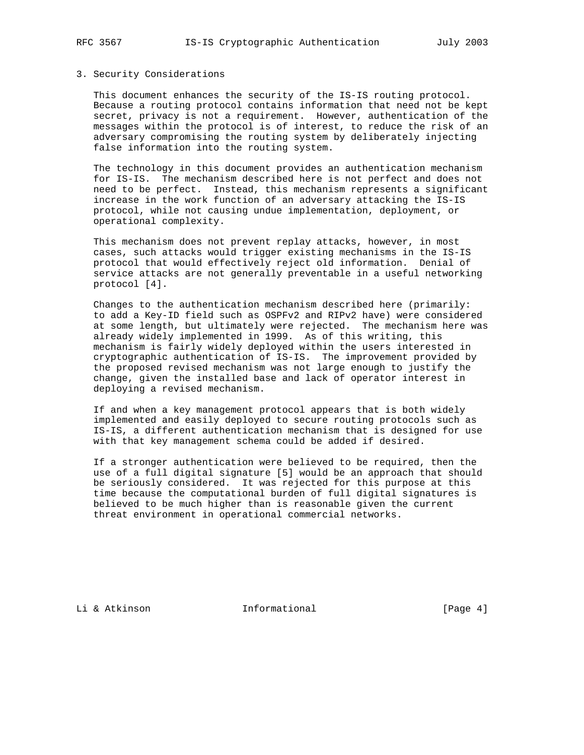#### 3. Security Considerations

 This document enhances the security of the IS-IS routing protocol. Because a routing protocol contains information that need not be kept secret, privacy is not a requirement. However, authentication of the messages within the protocol is of interest, to reduce the risk of an adversary compromising the routing system by deliberately injecting false information into the routing system.

 The technology in this document provides an authentication mechanism for IS-IS. The mechanism described here is not perfect and does not need to be perfect. Instead, this mechanism represents a significant increase in the work function of an adversary attacking the IS-IS protocol, while not causing undue implementation, deployment, or operational complexity.

 This mechanism does not prevent replay attacks, however, in most cases, such attacks would trigger existing mechanisms in the IS-IS protocol that would effectively reject old information. Denial of service attacks are not generally preventable in a useful networking protocol [4].

 Changes to the authentication mechanism described here (primarily: to add a Key-ID field such as OSPFv2 and RIPv2 have) were considered at some length, but ultimately were rejected. The mechanism here was already widely implemented in 1999. As of this writing, this mechanism is fairly widely deployed within the users interested in cryptographic authentication of IS-IS. The improvement provided by the proposed revised mechanism was not large enough to justify the change, given the installed base and lack of operator interest in deploying a revised mechanism.

 If and when a key management protocol appears that is both widely implemented and easily deployed to secure routing protocols such as IS-IS, a different authentication mechanism that is designed for use with that key management schema could be added if desired.

 If a stronger authentication were believed to be required, then the use of a full digital signature [5] would be an approach that should be seriously considered. It was rejected for this purpose at this time because the computational burden of full digital signatures is believed to be much higher than is reasonable given the current threat environment in operational commercial networks.

Li & Atkinson **Informational** [Page 4]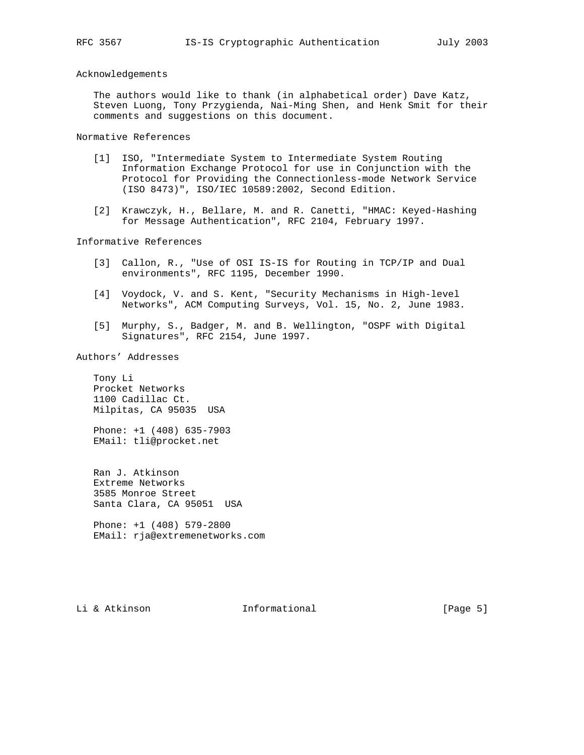#### Acknowledgements

 The authors would like to thank (in alphabetical order) Dave Katz, Steven Luong, Tony Przygienda, Nai-Ming Shen, and Henk Smit for their comments and suggestions on this document.

Normative References

- [1] ISO, "Intermediate System to Intermediate System Routing Information Exchange Protocol for use in Conjunction with the Protocol for Providing the Connectionless-mode Network Service (ISO 8473)", ISO/IEC 10589:2002, Second Edition.
- [2] Krawczyk, H., Bellare, M. and R. Canetti, "HMAC: Keyed-Hashing for Message Authentication", RFC 2104, February 1997.

Informative References

- [3] Callon, R., "Use of OSI IS-IS for Routing in TCP/IP and Dual environments", RFC 1195, December 1990.
- [4] Voydock, V. and S. Kent, "Security Mechanisms in High-level Networks", ACM Computing Surveys, Vol. 15, No. 2, June 1983.
- [5] Murphy, S., Badger, M. and B. Wellington, "OSPF with Digital Signatures", RFC 2154, June 1997.

Authors' Addresses

 Tony Li Procket Networks 1100 Cadillac Ct. Milpitas, CA 95035 USA

 Phone: +1 (408) 635-7903 EMail: tli@procket.net

 Ran J. Atkinson Extreme Networks 3585 Monroe Street Santa Clara, CA 95051 USA

 Phone: +1 (408) 579-2800 EMail: rja@extremenetworks.com

Li & Atkinson **Informational** [Page 5]